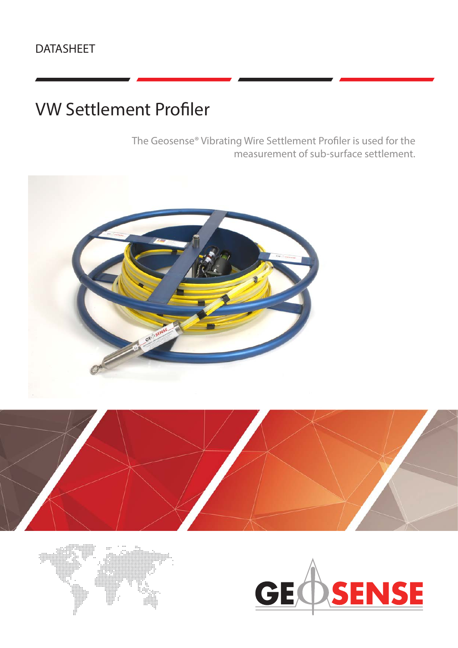# VW Settlement Profiler

The Geosense® Vibrating Wire Settlement Profiler is used for the measurement of sub-surface settlement.







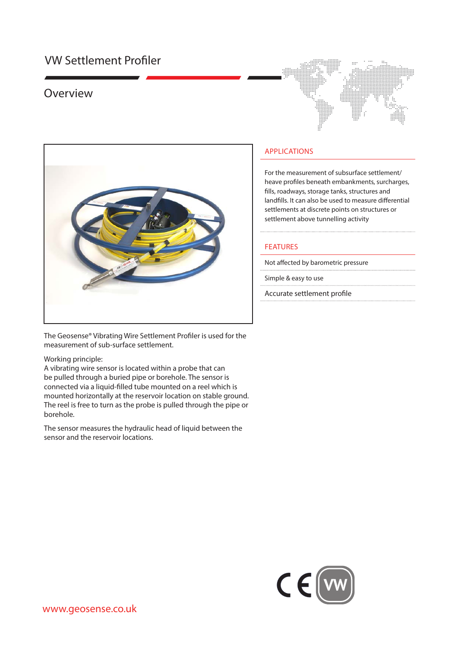## VW Settlement Profiler

### Overview





The Geosense® Vibrating Wire Settlement Profiler is used for the measurement of sub-surface settlement.

#### Working principle:

A vibrating wire sensor is located within a probe that can be pulled through a buried pipe or borehole. The sensor is connected via a liquid-filled tube mounted on a reel which is mounted horizontally at the reservoir location on stable ground. The reel is free to turn as the probe is pulled through the pipe or borehole.

The sensor measures the hydraulic head of liquid between the sensor and the reservoir locations.

### APPLICATIONS

For the measurement of subsurface settlement/ heave profiles beneath embankments, surcharges, fills, roadways, storage tanks, structures and landfills. It can also be used to measure differential settlements at discrete points on structures or settlement above tunnelling activity

#### FEATURES

Not affected by barometric pressure

Simple & easy to use

Accurate settlement profile

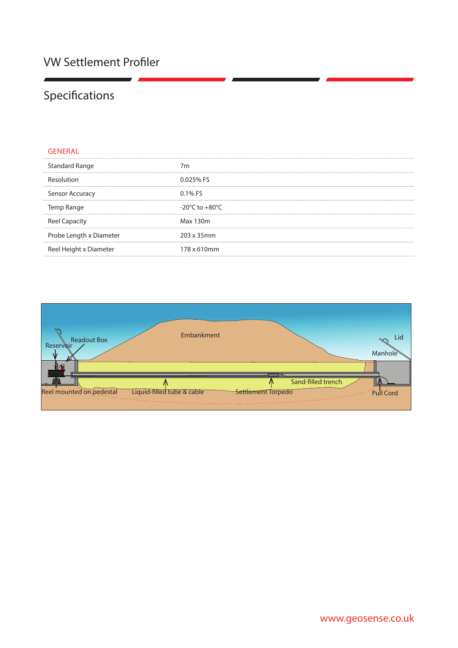# Specifications

| GENERAL                 |                                    |
|-------------------------|------------------------------------|
| <b>Standard Range</b>   | 7m                                 |
| Resolution              | 0.025% FS                          |
| Sensor Accuracy         | $0.1\%$ FS                         |
| Temp Range              | $-20^{\circ}$ C to $+80^{\circ}$ C |
| <b>Reel Capacity</b>    | Max 130m                           |
| Probe Length x Diameter | 203 x 35mm                         |
| Reel Height x Diameter  | 178 x 610mm                        |